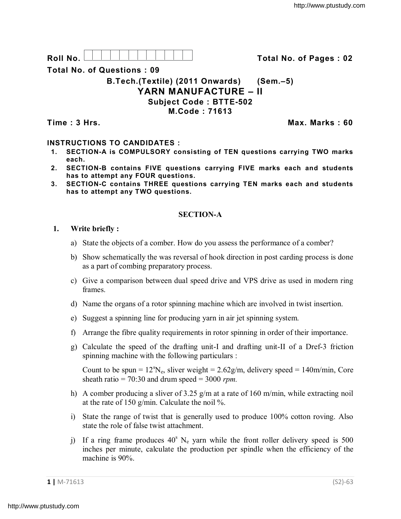**Roll No. Total No. of Pages : 02**

**Total No. of Questions : 09**

**B.Tech.(Textile) (2011 Onwards) (Sem.–5) YARN MANUFACTURE – II Subject Code : BTTE-502 M.Code : 71613**

**Time : 3 Hrs. Max. Marks : 60**

# **INSTRUCTIONS TO CANDIDATES :**

- **1. SECTION-A is COMPULSORY consisting of TEN questions carrying TWO marks each.**
- **2. SECTION-B contains FIVE questions carrying FIVE marks each and students has to attempt any FOUR questions.**
- **3. SECTION-C contains THREE questions carrying TEN marks each and students has to attempt any TWO questions.**

# **SECTION-A**

## **1. Write briefly :**

- a) State the objects of a comber. How do you assess the performance of a comber?
- b) Show schematically the was reversal of hook direction in post carding process is done as a part of combing preparatory process.
- c) Give a comparison between dual speed drive and VPS drive as used in modern ring frames.
- d) Name the organs of a rotor spinning machine which are involved in twist insertion.
- e) Suggest a spinning line for producing yarn in air jet spinning system.
- f) Arrange the fibre quality requirements in rotor spinning in order of their importance.
- g) Calculate the speed of the drafting unit-I and drafting unit-II of a Dref-3 friction spinning machine with the following particulars :

Count to be spun =  $12^{\circ}N_e$ , sliver weight =  $2.62g/m$ , delivery speed =  $140m/min$ , Core sheath ratio  $= 70:30$  and drum speed  $= 3000$  *rpm*.

- h) A comber producing a sliver of 3.25 g/m at a rate of 160 m/min, while extracting noil at the rate of 150 g/min. Calculate the noil %.
- i) State the range of twist that is generally used to produce 100% cotton roving. Also state the role of false twist attachment.
- j) If a ring frame produces  $40^{\circ}$  N<sub>e</sub> yarn while the front roller delivery speed is 500 inches per minute, calculate the production per spindle when the efficiency of the machine is 90%.